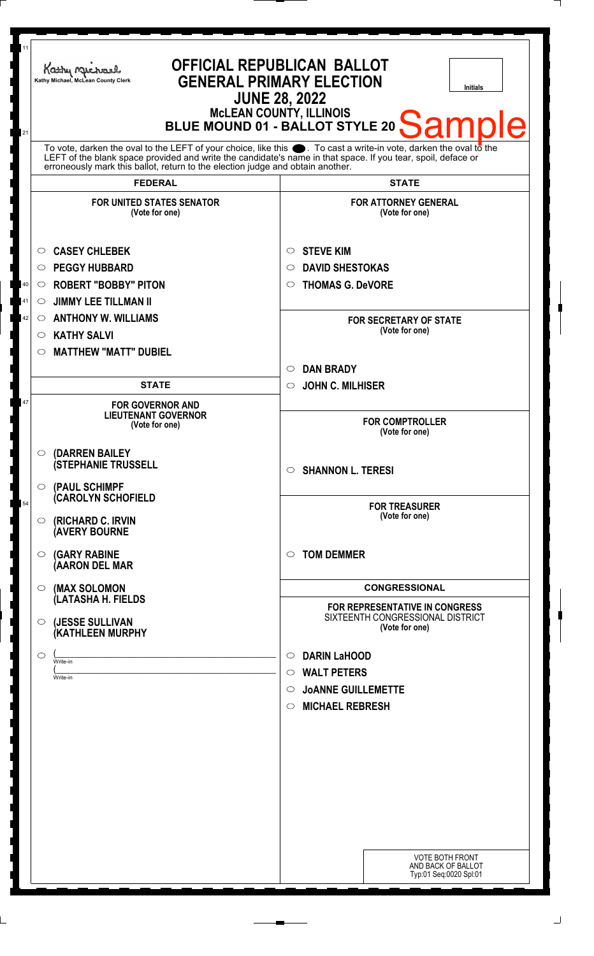| 11<br>21                                                                                                                                                                                                                                                                                                                                 | <b>OFFICIAL REPUBLICAN BALLOT</b><br>Kathy Michael<br><b>GENERAL PRIMARY ELECTION</b><br>Kathy Michael, McLean County Clerk<br><b>Initials</b><br><b>JUNE 28, 2022</b><br>McLEAN COUNTY, ILLINOIS<br>  BLUE MOUND 01 - BALLOT STYLE 20<br>Sample |                                                                                                                                                                                |
|------------------------------------------------------------------------------------------------------------------------------------------------------------------------------------------------------------------------------------------------------------------------------------------------------------------------------------------|--------------------------------------------------------------------------------------------------------------------------------------------------------------------------------------------------------------------------------------------------|--------------------------------------------------------------------------------------------------------------------------------------------------------------------------------|
| To vote, darken the oval to the LEFT of your choice, like this $\bullet$ . To cast a write-in vote, darken the oval to the LEFT of the blank space provided and write the candidate's name in that space. If you tear, spoil, deface<br>erroneously mark this ballot, return to the election judge and obtain another.<br><b>FEDERAL</b> |                                                                                                                                                                                                                                                  | <b>STATE</b>                                                                                                                                                                   |
|                                                                                                                                                                                                                                                                                                                                          | <b>FOR UNITED STATES SENATOR</b>                                                                                                                                                                                                                 | <b>FOR ATTORNEY GENERAL</b>                                                                                                                                                    |
| 40<br>41<br>42                                                                                                                                                                                                                                                                                                                           | (Vote for one)<br><b>CASEY CHLEBEK</b><br>◯<br><b>PEGGY HUBBARD</b><br>O<br><b>ROBERT "BOBBY" PITON</b><br>$\circ$<br><b>JIMMY LEE TILLMAN II</b><br>$\circ$<br><b>ANTHONY W. WILLIAMS</b><br>$\circ$<br><b>KATHY SALVI</b><br>$\circ$           | (Vote for one)<br><b>STEVE KIM</b><br>$\circ$<br><b>DAVID SHESTOKAS</b><br>$\circ$<br><b>THOMAS G. DeVORE</b><br>$\bigcirc$<br><b>FOR SECRETARY OF STATE</b><br>(Vote for one) |
|                                                                                                                                                                                                                                                                                                                                          | <b>MATTHEW "MATT" DUBIEL</b><br>$\circ$                                                                                                                                                                                                          | <b>DAN BRADY</b><br>$\circ$                                                                                                                                                    |
| 47                                                                                                                                                                                                                                                                                                                                       | <b>STATE</b><br><b>FOR GOVERNOR AND</b><br><b>LIEUTENANT GOVERNOR</b><br>(Vote for one)                                                                                                                                                          | <b>JOHN C. MILHISER</b><br>$\circ$<br><b>FOR COMPTROLLER</b><br>(Vote for one)                                                                                                 |
|                                                                                                                                                                                                                                                                                                                                          | (DARREN BAILEY<br>O<br><b>(STEPHANIE TRUSSELL</b><br>(PAUL SCHIMPF<br>$\circ$                                                                                                                                                                    | $\circ$ SHANNON L. TERESI                                                                                                                                                      |
| 54                                                                                                                                                                                                                                                                                                                                       | <b>(CAROLYN SCHOFIELD</b><br>(RICHARD C. IRVIN<br>$\circ$<br><b>(AVERY BOURNE</b>                                                                                                                                                                | <b>FOR TREASURER</b><br>(Vote for one)                                                                                                                                         |
|                                                                                                                                                                                                                                                                                                                                          | <b>(GARY RABINE</b><br>$\circ$<br>(AARON DEL MAR                                                                                                                                                                                                 | <b>TOM DEMMER</b><br>◯                                                                                                                                                         |
|                                                                                                                                                                                                                                                                                                                                          | (MAX SOLOMON<br>$\circ$<br>(LATASHA H. FIELDS                                                                                                                                                                                                    | <b>CONGRESSIONAL</b>                                                                                                                                                           |
|                                                                                                                                                                                                                                                                                                                                          | (JESSE SULLIVAN<br>$\circ$<br>(KATHLEEN MURPHY                                                                                                                                                                                                   | FOR REPRESENTATIVE IN CONGRESS<br>SIXTEENTH CONGRESSIONAL DISTRICT<br>(Vote for one)                                                                                           |
|                                                                                                                                                                                                                                                                                                                                          | $\circ$<br>Write-in<br>Write-in                                                                                                                                                                                                                  | <b>DARIN LaHOOD</b><br>$\circ$<br><b>WALT PETERS</b><br>$\circ$<br><b>JOANNE GUILLEMETTE</b><br>$\circ$<br><b>MICHAEL REBRESH</b><br>$\circ$                                   |
|                                                                                                                                                                                                                                                                                                                                          |                                                                                                                                                                                                                                                  | <b>VOTE BOTH FRONT</b><br>AND BACK OF BALLOT<br>Typ:01 Seq:0020 Spl:01                                                                                                         |

 $\perp$